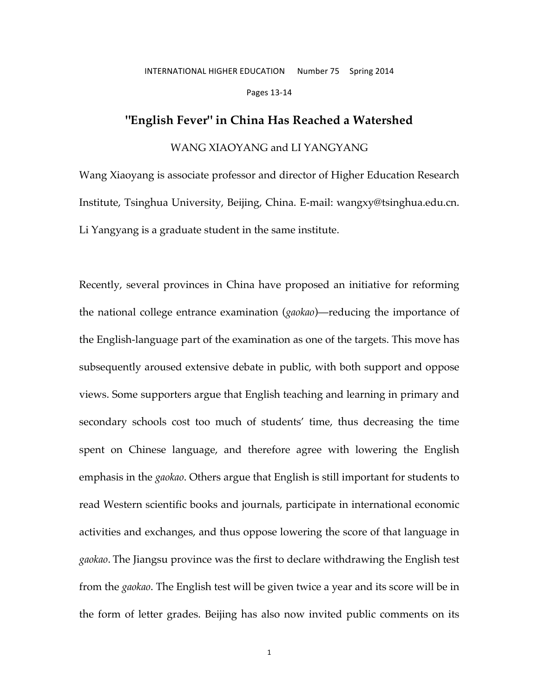## INTERNATIONAL HIGHER EDUCATION Number 75 Spring 2014

Pages 13-14

## **"English Fever" in China Has Reached a Watershed**

### WANG XIAOYANG and LI YANGYANG

Wang Xiaoyang is associate professor and director of Higher Education Research Institute, Tsinghua University, Beijing, China. E-mail: wangxy@tsinghua.edu.cn. Li Yangyang is a graduate student in the same institute.

Recently, several provinces in China have proposed an initiative for reforming the national college entrance examination (*gaokao*)—reducing the importance of the English-language part of the examination as one of the targets. This move has subsequently aroused extensive debate in public, with both support and oppose views. Some supporters argue that English teaching and learning in primary and secondary schools cost too much of students' time, thus decreasing the time spent on Chinese language, and therefore agree with lowering the English emphasis in the *gaokao*. Others argue that English is still important for students to read Western scientific books and journals, participate in international economic activities and exchanges, and thus oppose lowering the score of that language in *gaokao*. The Jiangsu province was the first to declare withdrawing the English test from the *gaokao*. The English test will be given twice a year and its score will be in the form of letter grades. Beijing has also now invited public comments on its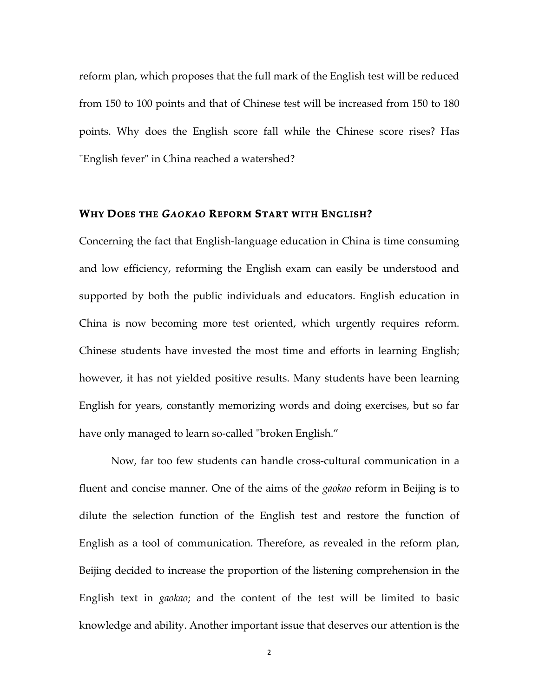reform plan, which proposes that the full mark of the English test will be reduced from 150 to 100 points and that of Chinese test will be increased from 150 to 180 points. Why does the English score fall while the Chinese score rises? Has "English fever" in China reached a watershed?

## **WHY DOES THE** *GAOKAO* **REFORM START WITH ENGLISH?**

Concerning the fact that English-language education in China is time consuming and low efficiency, reforming the English exam can easily be understood and supported by both the public individuals and educators. English education in China is now becoming more test oriented, which urgently requires reform. Chinese students have invested the most time and efforts in learning English; however, it has not yielded positive results. Many students have been learning English for years, constantly memorizing words and doing exercises, but so far have only managed to learn so-called "broken English."

Now, far too few students can handle cross-cultural communication in a fluent and concise manner. One of the aims of the *gaokao* reform in Beijing is to dilute the selection function of the English test and restore the function of English as a tool of communication. Therefore, as revealed in the reform plan, Beijing decided to increase the proportion of the listening comprehension in the English text in *gaokao*; and the content of the test will be limited to basic knowledge and ability. Another important issue that deserves our attention is the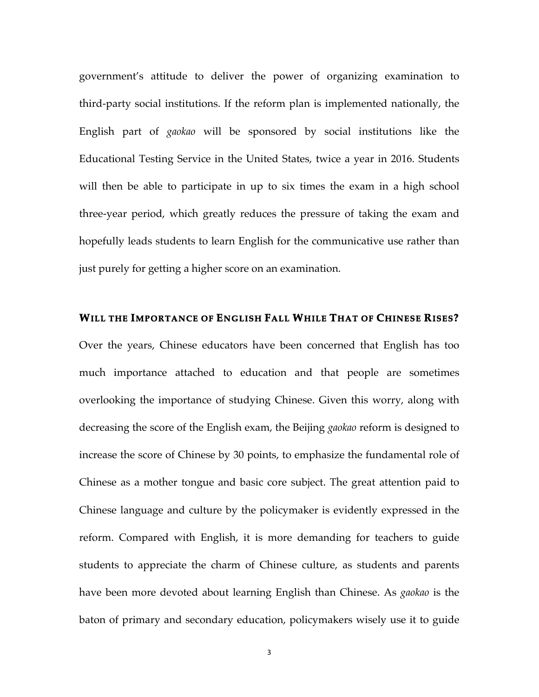government's attitude to deliver the power of organizing examination to third-party social institutions. If the reform plan is implemented nationally, the English part of *gaokao* will be sponsored by social institutions like the Educational Testing Service in the United States, twice a year in 2016. Students will then be able to participate in up to six times the exam in a high school three-year period, which greatly reduces the pressure of taking the exam and hopefully leads students to learn English for the communicative use rather than just purely for getting a higher score on an examination.

### **WILL THE IMPORTANCE OF ENGLISH FALL WHILE THAT OF CHINESE RISES?**

Over the years, Chinese educators have been concerned that English has too much importance attached to education and that people are sometimes overlooking the importance of studying Chinese. Given this worry, along with decreasing the score of the English exam, the Beijing *gaokao* reform is designed to increase the score of Chinese by 30 points, to emphasize the fundamental role of Chinese as a mother tongue and basic core subject. The great attention paid to Chinese language and culture by the policymaker is evidently expressed in the reform. Compared with English, it is more demanding for teachers to guide students to appreciate the charm of Chinese culture, as students and parents have been more devoted about learning English than Chinese. As *gaokao* is the baton of primary and secondary education, policymakers wisely use it to guide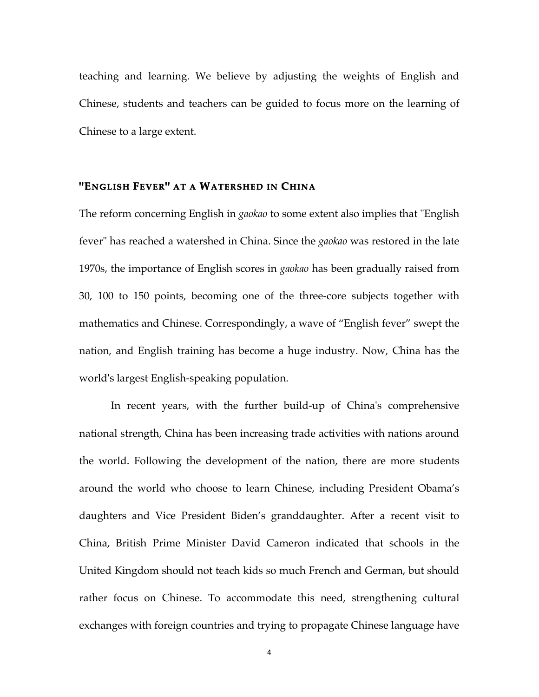teaching and learning. We believe by adjusting the weights of English and Chinese, students and teachers can be guided to focus more on the learning of Chinese to a large extent.

# **"ENGLISH FEVER" AT A WATERSHED IN CHINA**

The reform concerning English in *gaokao* to some extent also implies that "English fever" has reached a watershed in China. Since the *gaokao* was restored in the late 1970s, the importance of English scores in *gaokao* has been gradually raised from 30, 100 to 150 points, becoming one of the three-core subjects together with mathematics and Chinese. Correspondingly, a wave of "English fever" swept the nation, and English training has become a huge industry. Now, China has the world's largest English-speaking population.

In recent years, with the further build-up of China's comprehensive national strength, China has been increasing trade activities with nations around the world. Following the development of the nation, there are more students around the world who choose to learn Chinese, including President Obama's daughters and Vice President Biden's granddaughter. After a recent visit to China, British Prime Minister David Cameron indicated that schools in the United Kingdom should not teach kids so much French and German, but should rather focus on Chinese. To accommodate this need, strengthening cultural exchanges with foreign countries and trying to propagate Chinese language have